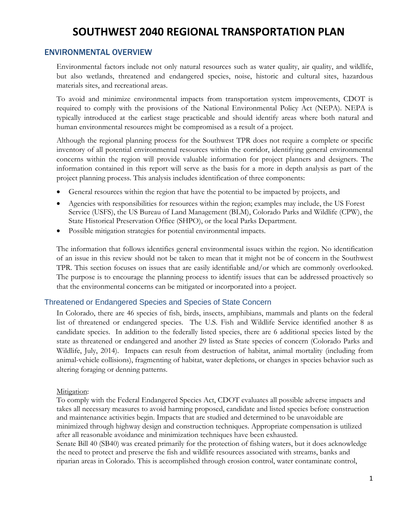### ENVIRONMENTAL OVERVIEW

Environmental factors include not only natural resources such as water quality, air quality, and wildlife, but also wetlands, threatened and endangered species, noise, historic and cultural sites, hazardous materials sites, and recreational areas.

To avoid and minimize environmental impacts from transportation system improvements, CDOT is required to comply with the provisions of the National Environmental Policy Act (NEPA). NEPA is typically introduced at the earliest stage practicable and should identify areas where both natural and human environmental resources might be compromised as a result of a project.

Although the regional planning process for the Southwest TPR does not require a complete or specific inventory of all potential environmental resources within the corridor, identifying general environmental concerns within the region will provide valuable information for project planners and designers. The information contained in this report will serve as the basis for a more in depth analysis as part of the project planning process. This analysis includes identification of three components:

- General resources within the region that have the potential to be impacted by projects, and
- Agencies with responsibilities for resources within the region; examples may include, the US Forest Service (USFS), the US Bureau of Land Management (BLM), Colorado Parks and Wildlife (CPW), the State Historical Preservation Office (SHPO), or the local Parks Department.
- Possible mitigation strategies for potential environmental impacts.

The information that follows identifies general environmental issues within the region. No identification of an issue in this review should not be taken to mean that it might not be of concern in the Southwest TPR. This section focuses on issues that are easily identifiable and/or which are commonly overlooked. The purpose is to encourage the planning process to identify issues that can be addressed proactively so that the environmental concerns can be mitigated or incorporated into a project.

### Threatened or Endangered Species and Species of State Concern

In Colorado, there are 46 species of fish, birds, insects, amphibians, mammals and plants on the federal list of threatened or endangered species. The U.S. Fish and Wildlife Service identified another 8 as candidate species. In addition to the federally listed species, there are 6 additional species listed by the state as threatened or endangered and another 29 listed as State species of concern (Colorado Parks and Wildlife, July, 2014). Impacts can result from destruction of habitat, animal mortality (including from animal-vehicle collisions), fragmenting of habitat, water depletions, or changes in species behavior such as altering foraging or denning patterns.

#### Mitigation:

To comply with the Federal Endangered Species Act, CDOT evaluates all possible adverse impacts and takes all necessary measures to avoid harming proposed, candidate and listed species before construction and maintenance activities begin. Impacts that are studied and determined to be unavoidable are minimized through highway design and construction techniques. Appropriate compensation is utilized after all reasonable avoidance and minimization techniques have been exhausted.

Senate Bill 40 (SB40) was created primarily for the protection of fishing waters, but it does acknowledge the need to protect and preserve the fish and wildlife resources associated with streams, banks and riparian areas in Colorado. This is accomplished through erosion control, water contaminate control,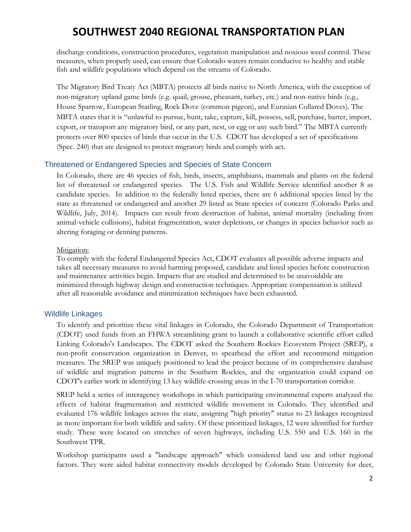discharge conditions, construction procedures, vegetation manipulation and noxious weed control. These measures, when properly used, can ensure that Colorado waters remain conducive to healthy and stable fish and wildlife populations which depend on the streams of Colorado.

The Migratory Bird Treaty Act (MBTA) protects all birds native to North America, with the exception of non-migratory upland game birds (e.g. quail, grouse, pheasant, turkey, etc.) and non-native birds (e.g., House Sparrow, European Starling, Rock Dove (common pigeon), and Eurasian Collared Doves). The MBTA states that it is "unlawful to pursue, hunt, take, capture, kill, possess, sell, purchase, barter, import, export, or transport any migratory bird, or any part, nest, or egg or any such bird." The MBTA currently protects over 800 species of birds that occur in the U.S. CDOT has developed a set of specifications (Spec. 240) that are designed to protect migratory birds and comply with act.

## Threatened or Endangered Species and Species of State Concern

In Colorado, there are 46 species of fish, birds, insects, amphibians, mammals and plants on the federal list of threatened or endangered species. The U.S. Fish and Wildlife Service identified another 8 as candidate species. In addition to the federally listed species, there are 6 additional species listed by the state as threatened or endangered and another 29 listed as State species of concern (Colorado Parks and Wildlife, July, 2014). Impacts can result from destruction of habitat, animal mortality (including from animal-vehicle collisions), habitat fragmentation, water depletions, or changes in species behavior such as altering foraging or denning patterns.

#### Mitigation:

To comply with the federal Endangered Species Act, CDOT evaluates all possible adverse impacts and takes all necessary measures to avoid harming proposed, candidate and listed species before construction and maintenance activities begin. Impacts that are studied and determined to be unavoidable are minimized through highway design and construction techniques. Appropriate compensation is utilized after all reasonable avoidance and minimization techniques have been exhausted.

### Wildlife Linkages

To identify and prioritize these vital linkages in Colorado, the Colorado Department of Transportation (CDOT) used funds from an FHWA streamlining grant to launch a collaborative scientific effort called Linking Colorado's Landscapes. The CDOT asked the Southern Rockies Ecosystem Project (SREP), a non-profit conservation organization in Denver, to spearhead the effort and recommend mitigation measures. The SREP was uniquely positioned to lead the project because of its comprehensive database of wildlife and migration patterns in the Southern Rockies, and the organization could expand on CDOT's earlier work in identifying 13 key wildlife-crossing areas in the I-70 transportation corridor.

SREP held a series of interagency workshops in which participating environmental experts analyzed the effects of habitat fragmentation and restricted wildlife movement in Colorado. They identified and evaluated 176 wildlife linkages across the state, assigning "high priority" status to 23 linkages recognized as more important for both wildlife and safety. Of these prioritized linkages, 12 were identified for further study. These were located on stretches of seven highways, including U.S. 550 and U.S. 160 in the Southwest TPR.

Workshop participants used a "landscape approach" which considered land use and other regional factors. They were aided habitat connectivity models developed by Colorado State University for deer,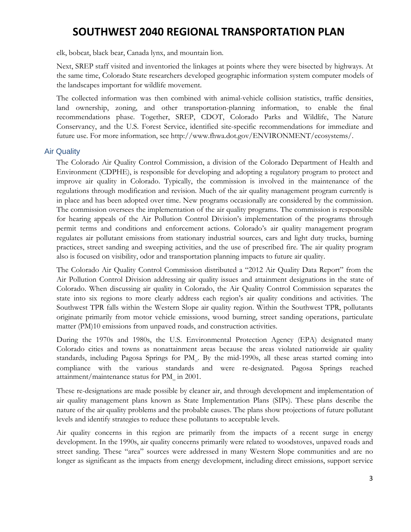elk, bobcat, black bear, Canada lynx, and mountain lion.

Next, SREP staff visited and inventoried the linkages at points where they were bisected by highways. At the same time, Colorado State researchers developed geographic information system computer models of the landscapes important for wildlife movement.

The collected information was then combined with animal-vehicle collision statistics, traffic densities, land ownership, zoning, and other transportation-planning information, to enable the final recommendations phase. Together, SREP, CDOT, Colorado Parks and Wildlife, The Nature Conservancy, and the U.S. Forest Service, identified site-specific recommendations for immediate and future use. For more information, see http://www.fhwa.dot.gov/ENVIRONMENT/ecosystems/.

### Air Quality

The Colorado Air Quality Control Commission, a division of the Colorado Department of Health and Environment (CDPHE), is responsible for developing and adopting a regulatory program to protect and improve air quality in Colorado. Typically, the commission is involved in the maintenance of the regulations through modification and revision. Much of the air quality management program currently is in place and has been adopted over time. New programs occasionally are considered by the commission. The commission oversees the implementation of the air quality programs. The commission is responsible for hearing appeals of the Air Pollution Control Division's implementation of the programs through permit terms and conditions and enforcement actions. Colorado's air quality management program regulates air pollutant emissions from stationary industrial sources, cars and light duty trucks, burning practices, street sanding and sweeping activities, and the use of prescribed fire. The air quality program also is focused on visibility, odor and transportation planning impacts to future air quality.

The Colorado Air Quality Control Commission distributed a "2012 Air Quality Data Report" from the Air Pollution Control Division addressing air quality issues and attainment designations in the state of Colorado. When discussing air quality in Colorado, the Air Quality Control Commission separates the state into six regions to more clearly address each region's air quality conditions and activities. The Southwest TPR falls within the Western Slope air quality region. Within the Southwest TPR, pollutants originate primarily from motor vehicle emissions, wood burning, street sanding operations, particulate matter (PM)10 emissions from unpaved roads, and construction activities.

During the 1970s and 1980s, the U.S. Environmental Protection Agency (EPA) designated many Colorado cities and towns as nonattainment areas because the areas violated nationwide air quality standards, including Pagosa Springs for  $PM_{10}$ . By the mid-1990s, all these areas started coming into compliance with the various standards and were re-designated. Pagosa Springs reached attainment/maintenance status for  $PM$ <sub>10</sub> in 2001.

These re-designations are made possible by cleaner air, and through development and implementation of air quality management plans known as State Implementation Plans (SIPs). These plans describe the nature of the air quality problems and the probable causes. The plans show projections of future pollutant levels and identify strategies to reduce these pollutants to acceptable levels.

Air quality concerns in this region are primarily from the impacts of a recent surge in energy development. In the 1990s, air quality concerns primarily were related to woodstoves, unpaved roads and street sanding. These "area" sources were addressed in many Western Slope communities and are no longer as significant as the impacts from energy development, including direct emissions, support service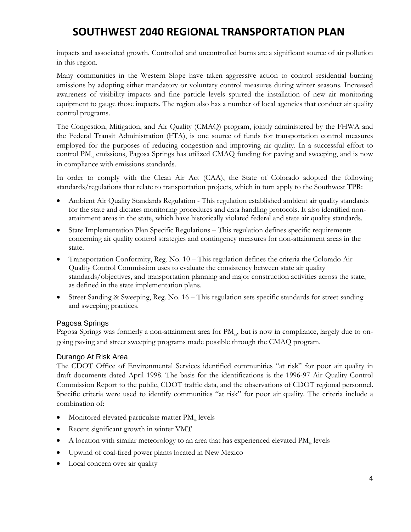impacts and associated growth. Controlled and uncontrolled burns are a significant source of air pollution in this region.

Many communities in the Western Slope have taken aggressive action to control residential burning emissions by adopting either mandatory or voluntary control measures during winter seasons. Increased awareness of visibility impacts and fine particle levels spurred the installation of new air monitoring equipment to gauge those impacts. The region also has a number of local agencies that conduct air quality control programs.

The Congestion, Mitigation, and Air Quality (CMAQ) program, jointly administered by the FHWA and the Federal Transit Administration (FTA), is one source of funds for transportation control measures employed for the purposes of reducing congestion and improving air quality. In a successful effort to control PM<sub>10</sub> emissions, Pagosa Springs has utilized CMAQ funding for paving and sweeping, and is now in compliance with emissions standards.

In order to comply with the Clean Air Act (CAA), the State of Colorado adopted the following standards/regulations that relate to transportation projects, which in turn apply to the Southwest TPR:

- Ambient Air Quality Standards Regulation This regulation established ambient air quality standards for the state and dictates monitoring procedures and data handling protocols. It also identified nonattainment areas in the state, which have historically violated federal and state air quality standards.
- State Implementation Plan Specific Regulations This regulation defines specific requirements concerning air quality control strategies and contingency measures for non-attainment areas in the state.
- Transportation Conformity, Reg. No. 10 This regulation defines the criteria the Colorado Air Quality Control Commission uses to evaluate the consistency between state air quality standards/objectives, and transportation planning and major construction activities across the state, as defined in the state implementation plans.
- Street Sanding & Sweeping, Reg. No. 16 This regulation sets specific standards for street sanding and sweeping practices.

## Pagosa Springs

Pagosa Springs was formerly a non-attainment area for PM<sub>10</sub>, but is now in compliance, largely due to ongoing paving and street sweeping programs made possible through the CMAQ program.

## Durango At Risk Area

The CDOT Office of Environmental Services identified communities "at risk" for poor air quality in draft documents dated April 1998. The basis for the identifications is the 1996-97 Air Quality Control Commission Report to the public, CDOT traffic data, and the observations of CDOT regional personnel. Specific criteria were used to identify communities "at risk" for poor air quality. The criteria include a combination of:

- Monitored elevated particulate matter PM<sub>10</sub> levels
- Recent significant growth in winter VMT
- A location with similar meteorology to an area that has experienced elevated  $PM_{10}$  levels
- Upwind of coal-fired power plants located in New Mexico
- Local concern over air quality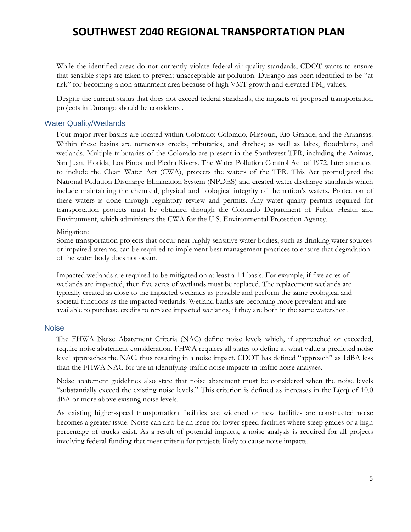While the identified areas do not currently violate federal air quality standards, CDOT wants to ensure that sensible steps are taken to prevent unacceptable air pollution. Durango has been identified to be "at risk" for becoming a non-attainment area because of high VMT growth and elevated PM<sub>10</sub> values.

Despite the current status that does not exceed federal standards, the impacts of proposed transportation projects in Durango should be considered.

### Water Quality/Wetlands

Four major river basins are located within Colorado: Colorado, Missouri, Rio Grande, and the Arkansas. Within these basins are numerous creeks, tributaries, and ditches; as well as lakes, floodplains, and wetlands. Multiple tributaries of the Colorado are present in the Southwest TPR, including the Animas, San Juan, Florida, Los Pinos and Piedra Rivers. The Water Pollution Control Act of 1972, later amended to include the Clean Water Act (CWA), protects the waters of the TPR. This Act promulgated the National Pollution Discharge Elimination System (NPDES) and created water discharge standards which include maintaining the chemical, physical and biological integrity of the nation's waters. Protection of these waters is done through regulatory review and permits. Any water quality permits required for transportation projects must be obtained through the Colorado Department of Public Health and Environment, which administers the CWA for the U.S. Environmental Protection Agency.

#### Mitigation:

Some transportation projects that occur near highly sensitive water bodies, such as drinking water sources or impaired streams, can be required to implement best management practices to ensure that degradation of the water body does not occur.

Impacted wetlands are required to be mitigated on at least a 1:1 basis. For example, if five acres of wetlands are impacted, then five acres of wetlands must be replaced. The replacement wetlands are typically created as close to the impacted wetlands as possible and perform the same ecological and societal functions as the impacted wetlands. Wetland banks are becoming more prevalent and are available to purchase credits to replace impacted wetlands, if they are both in the same watershed.

### **Noise**

The FHWA Noise Abatement Criteria (NAC) define noise levels which, if approached or exceeded, require noise abatement consideration. FHWA requires all states to define at what value a predicted noise level approaches the NAC, thus resulting in a noise impact. CDOT has defined "approach" as 1dBA less than the FHWA NAC for use in identifying traffic noise impacts in traffic noise analyses.

Noise abatement guidelines also state that noise abatement must be considered when the noise levels "substantially exceed the existing noise levels." This criterion is defined as increases in the L(eq) of 10.0 dBA or more above existing noise levels.

As existing higher-speed transportation facilities are widened or new facilities are constructed noise becomes a greater issue. Noise can also be an issue for lower-speed facilities where steep grades or a high percentage of trucks exist. As a result of potential impacts, a noise analysis is required for all projects involving federal funding that meet criteria for projects likely to cause noise impacts.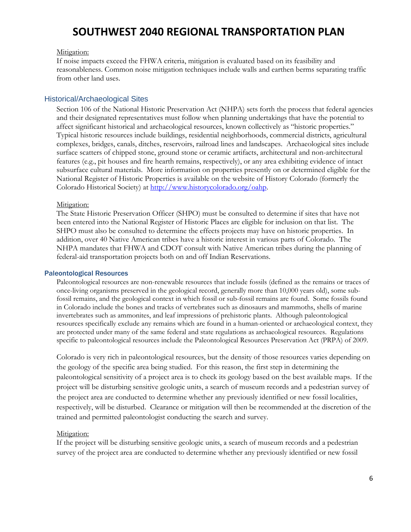#### Mitigation:

If noise impacts exceed the FHWA criteria, mitigation is evaluated based on its feasibility and reasonableness. Common noise mitigation techniques include walls and earthen berms separating traffic from other land uses.

#### Historical/Archaeological Sites

Section 106 of the National Historic Preservation Act (NHPA) sets forth the process that federal agencies and their designated representatives must follow when planning undertakings that have the potential to affect significant historical and archaeological resources, known collectively as "historic properties." Typical historic resources include buildings, residential neighborhoods, commercial districts, agricultural complexes, bridges, canals, ditches, reservoirs, railroad lines and landscapes. Archaeological sites include surface scatters of chipped stone, ground stone or ceramic artifacts, architectural and non-architectural features (e.g., pit houses and fire hearth remains, respectively), or any area exhibiting evidence of intact subsurface cultural materials. More information on properties presently on or determined eligible for the National Register of Historic Properties is available on the website of History Colorado (formerly the Colorado Historical Society) at http://www.historycolorado.org/oahp.

#### Mitigation:

The State Historic Preservation Officer (SHPO) must be consulted to determine if sites that have not been entered into the National Register of Historic Places are eligible for inclusion on that list. The SHPO must also be consulted to determine the effects projects may have on historic properties. In addition, over 40 Native American tribes have a historic interest in various parts of Colorado. The NHPA mandates that FHWA and CDOT consult with Native American tribes during the planning of federal-aid transportation projects both on and off Indian Reservations.

#### Paleontological Resources

Paleontological resources are non-renewable resources that include fossils (defined as the remains or traces of once-living organisms preserved in the geological record, generally more than 10,000 years old), some subfossil remains, and the geological context in which fossil or sub-fossil remains are found. Some fossils found in Colorado include the bones and tracks of vertebrates such as dinosaurs and mammoths, shells of marine invertebrates such as ammonites, and leaf impressions of prehistoric plants. Although paleontological resources specifically exclude any remains which are found in a human-oriented or archaeological context, they are protected under many of the same federal and state regulations as archaeological resources. Regulations specific to paleontological resources include the Paleontological Resources Preservation Act (PRPA) of 2009.

Colorado is very rich in paleontological resources, but the density of those resources varies depending on the geology of the specific area being studied. For this reason, the first step in determining the paleontological sensitivity of a project area is to check its geology based on the best available maps. If the project will be disturbing sensitive geologic units, a search of museum records and a pedestrian survey of the project area are conducted to determine whether any previously identified or new fossil localities, respectively, will be disturbed. Clearance or mitigation will then be recommended at the discretion of the trained and permitted paleontologist conducting the search and survey.

#### Mitigation:

If the project will be disturbing sensitive geologic units, a search of museum records and a pedestrian survey of the project area are conducted to determine whether any previously identified or new fossil